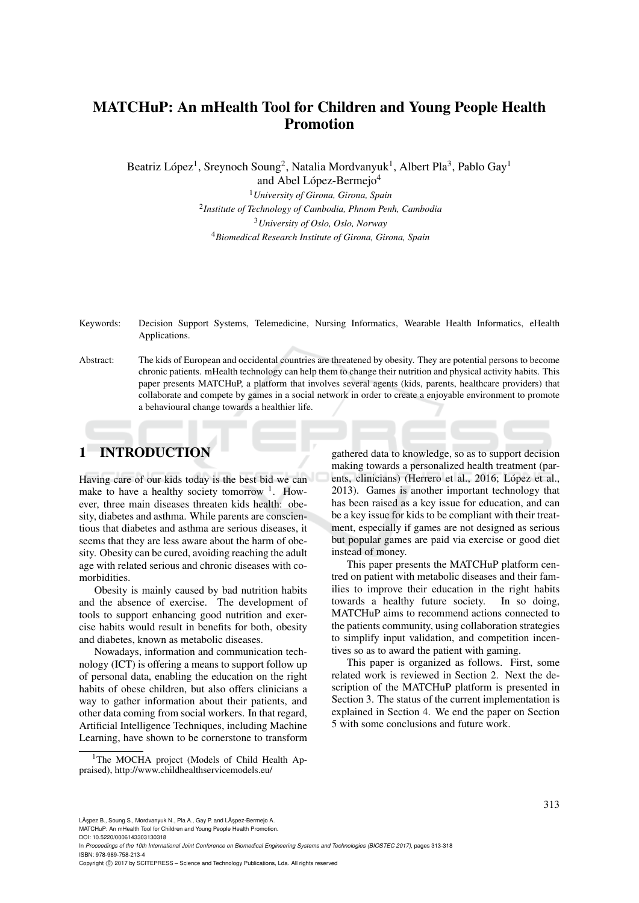# MATCHuP: An mHealth Tool for Children and Young People Health Promotion

Beatriz López<sup>1</sup>, Sreynoch Soung<sup>2</sup>, Natalia Mordvanyuk<sup>1</sup>, Albert Pla<sup>3</sup>, Pablo Gay<sup>1</sup>

and Abel López-Bermejo<sup>4</sup>

*University of Girona, Girona, Spain Institute of Technology of Cambodia, Phnom Penh, Cambodia University of Oslo, Oslo, Norway Biomedical Research Institute of Girona, Girona, Spain*

Keywords: Decision Support Systems, Telemedicine, Nursing Informatics, Wearable Health Informatics, eHealth Applications.

Abstract: The kids of European and occidental countries are threatened by obesity. They are potential persons to become chronic patients. mHealth technology can help them to change their nutrition and physical activity habits. This paper presents MATCHuP, a platform that involves several agents (kids, parents, healthcare providers) that collaborate and compete by games in a social network in order to create a enjoyable environment to promote a behavioural change towards a healthier life.

## 1 INTRODUCTION

Having care of our kids today is the best bid we can make to have a healthy society tomorrow  $1$ . However, three main diseases threaten kids health: obesity, diabetes and asthma. While parents are conscientious that diabetes and asthma are serious diseases, it seems that they are less aware about the harm of obesity. Obesity can be cured, avoiding reaching the adult age with related serious and chronic diseases with comorbidities.

Obesity is mainly caused by bad nutrition habits and the absence of exercise. The development of tools to support enhancing good nutrition and exercise habits would result in benefits for both, obesity and diabetes, known as metabolic diseases.

Nowadays, information and communication technology (ICT) is offering a means to support follow up of personal data, enabling the education on the right habits of obese children, but also offers clinicians a way to gather information about their patients, and other data coming from social workers. In that regard, Artificial Intelligence Techniques, including Machine Learning, have shown to be cornerstone to transform

gathered data to knowledge, so as to support decision making towards a personalized health treatment (parents, clinicians) (Herrero et al., 2016; López et al., 2013). Games is another important technology that has been raised as a key issue for education, and can be a key issue for kids to be compliant with their treatment, especially if games are not designed as serious but popular games are paid via exercise or good diet instead of money.

This paper presents the MATCHuP platform centred on patient with metabolic diseases and their families to improve their education in the right habits towards a healthy future society. In so doing, MATCHuP aims to recommend actions connected to the patients community, using collaboration strategies to simplify input validation, and competition incentives so as to award the patient with gaming.

This paper is organized as follows. First, some related work is reviewed in Section 2. Next the description of the MATCHuP platform is presented in Section 3. The status of the current implementation is explained in Section 4. We end the paper on Section 5 with some conclusions and future work.

In *Proceedings of the 10th International Joint Conference on Biomedical Engineering Systems and Technologies (BIOSTEC 2017)*, pages 313-318 ISBN: 978-989-758-213-4

<sup>&</sup>lt;sup>1</sup>The MOCHA project (Models of Child Health Appraised), http://www.childhealthservicemodels.eu/

LÃ şpez B., Soung S., Mordvanyuk N., Pla A., Gay P. and LÃ şpez-Bermejo A.

MATCHuP: An mHealth Tool for Children and Young People Health Promotion. DOI: 10.5220/0006143303130318

Copyright © 2017 by SCITEPRESS - Science and Technology Publications, Lda. All rights reserved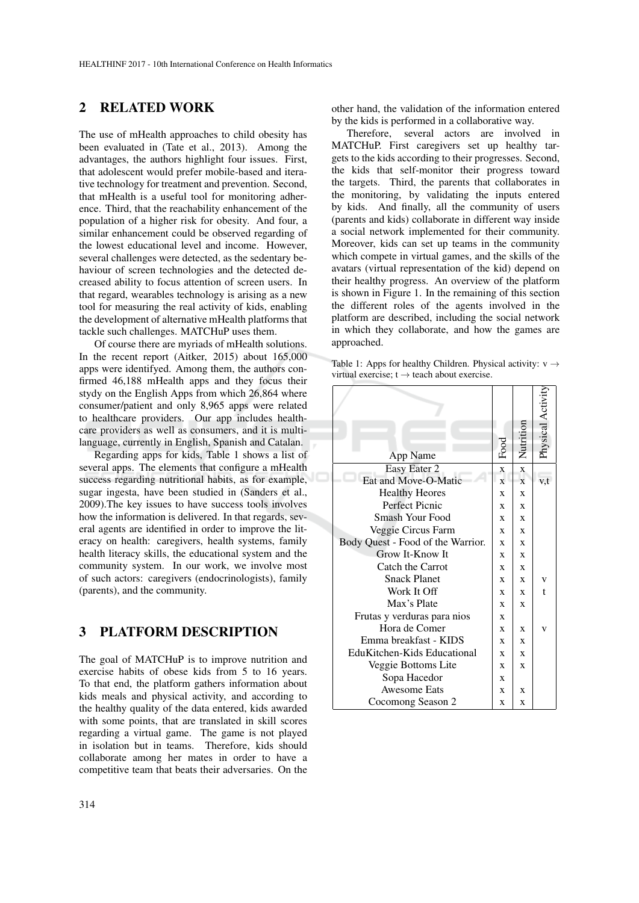## 2 RELATED WORK

The use of mHealth approaches to child obesity has been evaluated in (Tate et al., 2013). Among the advantages, the authors highlight four issues. First, that adolescent would prefer mobile-based and iterative technology for treatment and prevention. Second, that mHealth is a useful tool for monitoring adherence. Third, that the reachability enhancement of the population of a higher risk for obesity. And four, a similar enhancement could be observed regarding of the lowest educational level and income. However, several challenges were detected, as the sedentary behaviour of screen technologies and the detected decreased ability to focus attention of screen users. In that regard, wearables technology is arising as a new tool for measuring the real activity of kids, enabling the development of alternative mHealth platforms that tackle such challenges. MATCHuP uses them.

Of course there are myriads of mHealth solutions. In the recent report (Aitker, 2015) about 165,000 apps were identifyed. Among them, the authors confirmed 46,188 mHealth apps and they focus their stydy on the English Apps from which 26,864 where consumer/patient and only 8,965 apps were related to healthcare providers. Our app includes healthcare providers as well as consumers, and it is multilanguage, currently in English, Spanish and Catalan.

Regarding apps for kids, Table 1 shows a list of several apps. The elements that configure a mHealth success regarding nutritional habits, as for example, sugar ingesta, have been studied in (Sanders et al., 2009).The key issues to have success tools involves how the information is delivered. In that regards, several agents are identified in order to improve the literacy on health: caregivers, health systems, family health literacy skills, the educational system and the community system. In our work, we involve most of such actors: caregivers (endocrinologists), family (parents), and the community.

## 3 PLATFORM DESCRIPTION

The goal of MATCHuP is to improve nutrition and exercise habits of obese kids from 5 to 16 years. To that end, the platform gathers information about kids meals and physical activity, and according to the healthy quality of the data entered, kids awarded with some points, that are translated in skill scores regarding a virtual game. The game is not played in isolation but in teams. Therefore, kids should collaborate among her mates in order to have a competitive team that beats their adversaries. On the other hand, the validation of the information entered by the kids is performed in a collaborative way.

Therefore, several actors are involved in MATCHuP. First caregivers set up healthy targets to the kids according to their progresses. Second, the kids that self-monitor their progress toward the targets. Third, the parents that collaborates in the monitoring, by validating the inputs entered by kids. And finally, all the community of users (parents and kids) collaborate in different way inside a social network implemented for their community. Moreover, kids can set up teams in the community which compete in virtual games, and the skills of the avatars (virtual representation of the kid) depend on their healthy progress. An overview of the platform is shown in Figure 1. In the remaining of this section the different roles of the agents involved in the platform are described, including the social network in which they collaborate, and how the games are approached.

Table 1: Apps for healthy Children. Physical activity:  $v \rightarrow$ virtual exercise;  $t \rightarrow$  teach about exercise.

| App Name                          | Food         | Nutrition    | Physical Activ |
|-----------------------------------|--------------|--------------|----------------|
| Easy Eater 2                      | $\mathbf x$  | X            |                |
| Eat and Move-O-Matic              | $\mathbf{x}$ | X            | v,t            |
| <b>Healthy Heores</b>             | X            | X            |                |
| Perfect Picnic                    | X            | $\mathbf{x}$ |                |
| Smash Your Food                   | X            | $\mathbf{x}$ |                |
| Veggie Circus Farm                | X            | $\mathbf x$  |                |
| Body Quest - Food of the Warrior. | X            | X            |                |
| Grow It-Know It                   | X            | X            |                |
| Catch the Carrot                  | X            | $\mathbf{x}$ |                |
| <b>Snack Planet</b>               | X            | X            | v              |
| Work It Off                       | $\mathbf x$  | $\mathbf{x}$ | t              |
| Max's Plate                       | X            | X            |                |
| Frutas y verduras para nios       | X            |              |                |
| Hora de Comer                     | X            | X            |                |
| Emma breakfast - KIDS             | X            | X            |                |
| EduKitchen-Kids Educational       | X            | X            |                |
| Veggie Bottoms Lite               | X            | X            |                |
| Sopa Hacedor                      | X            |              |                |
| <b>Awesome Eats</b>               | X            | X            |                |
| Cocomong Season 2                 | X            | X            |                |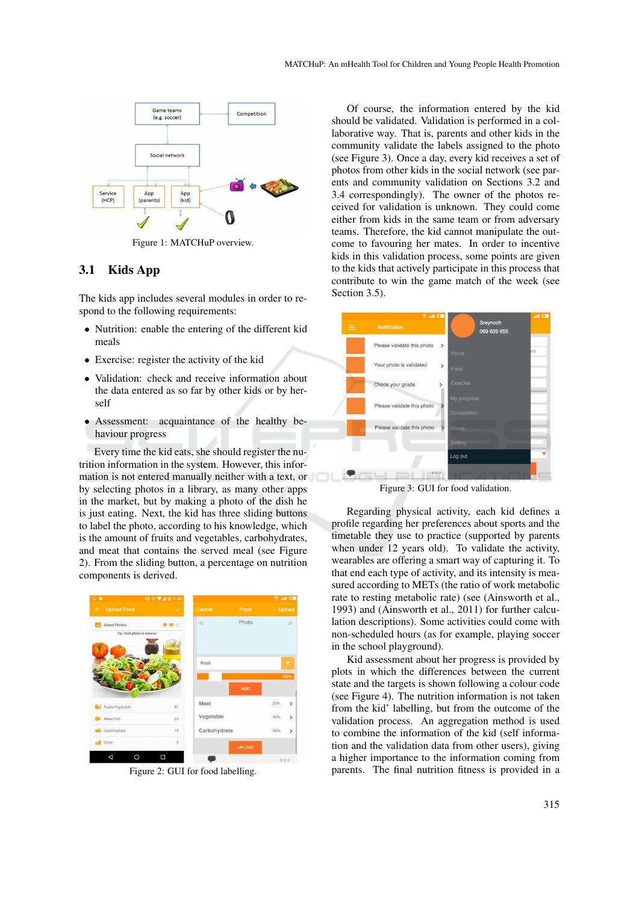

Figure 1: MATCHuP overview.

#### 3.1 Kids App

The kids app includes several modules in order to respond to the following requirements:

- Nutrition: enable the entering of the different kid meals
- Exercise: register the activity of the kid
- Validation: check and receive information about the data entered as so far by other kids or by herself
- Assessment: acquaintance of the healthy behaviour progress

Every time the kid eats, she should register the nutrition information in the system. However, this information is not entered manually neither with a text, or by selecting photos in a library, as many other apps in the market, but by making a photo of the dish he is just eating. Next, the kid has three sliding buttons to label the photo, according to his knowledge, which is the amount of fruits and vegetables, carbohydrates, and meat that contains the served meal (see Figure 2). From the sliding button, a percentage on nutrition components is derived.



Figure 2: GUI for food labelling.

Of course, the information entered by the kid should be validated. Validation is performed in a collaborative way. That is, parents and other kids in the community validate the labels assigned to the photo (see Figure 3). Once a day, every kid receives a set of photos from other kids in the social network (see parents and community validation on Sections 3.2 and 3.4 correspondingly). The owner of the photos received for validation is unknown. They could come either from kids in the same team or from adversary teams. Therefore, the kid cannot manipulate the outcome to favouring her mates. In order to incentive kids in this validation process, some points are given to the kids that actively participate in this process that contribute to win the game match of the week (see Section 3.5).



Figure 3: GUI for food validation.

Regarding physical activity, each kid defines a profile regarding her preferences about sports and the timetable they use to practice (supported by parents when under 12 years old). To validate the activity, wearables are offering a smart way of capturing it. To that end each type of activity, and its intensity is measured according to METs (the ratio of work metabolic rate to resting metabolic rate) (see (Ainsworth et al., 1993) and (Ainsworth et al., 2011) for further calculation descriptions). Some activities could come with non-scheduled hours (as for example, playing soccer in the school playground).

Kid assessment about her progress is provided by plots in which the differences between the current state and the targets is shown following a colour code (see Figure 4). The nutrition information is not taken from the kid' labelling, but from the outcome of the validation process. An aggregation method is used to combine the information of the kid (self information and the validation data from other users), giving a higher importance to the information coming from parents. The final nutrition fitness is provided in a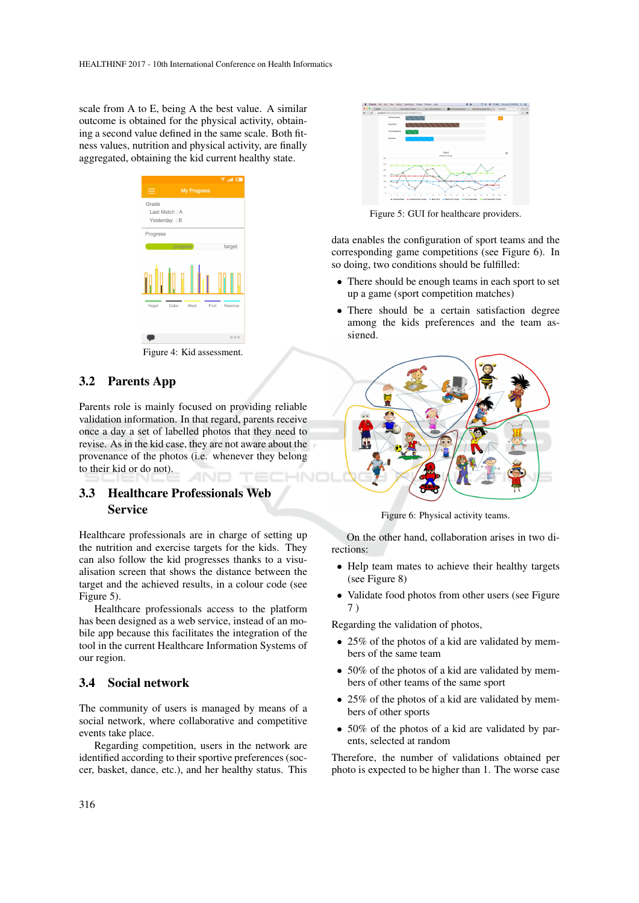scale from A to E, being A the best value. A similar outcome is obtained for the physical activity, obtaining a second value defined in the same scale. Both fitness values, nutrition and physical activity, are finally aggregated, obtaining the kid current healthy state.



Figure 4: Kid assessment.

### 3.2 Parents App

Parents role is mainly focused on providing reliable validation information. In that regard, parents receive once a day a set of labelled photos that they need to revise. As in the kid case, they are not aware about the provenance of the photos (i.e. whenever they belong to their kid or do not).

### 3.3 Healthcare Professionals Web Service

Healthcare professionals are in charge of setting up the nutrition and exercise targets for the kids. They can also follow the kid progresses thanks to a visualisation screen that shows the distance between the target and the achieved results, in a colour code (see Figure 5).

Healthcare professionals access to the platform has been designed as a web service, instead of an mobile app because this facilitates the integration of the tool in the current Healthcare Information Systems of our region.

#### 3.4 Social network

The community of users is managed by means of a social network, where collaborative and competitive events take place.

Regarding competition, users in the network are identified according to their sportive preferences (soccer, basket, dance, etc.), and her healthy status. This



Figure 5: GUI for healthcare providers.

data enables the configuration of sport teams and the corresponding game competitions (see Figure 6). In so doing, two conditions should be fulfilled:

- There should be enough teams in each sport to set up a game (sport competition matches)
- There should be a certain satisfaction degree among the kids preferences and the team assigned.



Figure 6: Physical activity teams.

On the other hand, collaboration arises in two directions:

- Help team mates to achieve their healthy targets (see Figure 8)
- Validate food photos from other users (see Figure 7 )

Regarding the validation of photos,

- 25% of the photos of a kid are validated by members of the same team
- 50% of the photos of a kid are validated by members of other teams of the same sport
- 25% of the photos of a kid are validated by members of other sports
- 50% of the photos of a kid are validated by parents, selected at random

Therefore, the number of validations obtained per photo is expected to be higher than 1. The worse case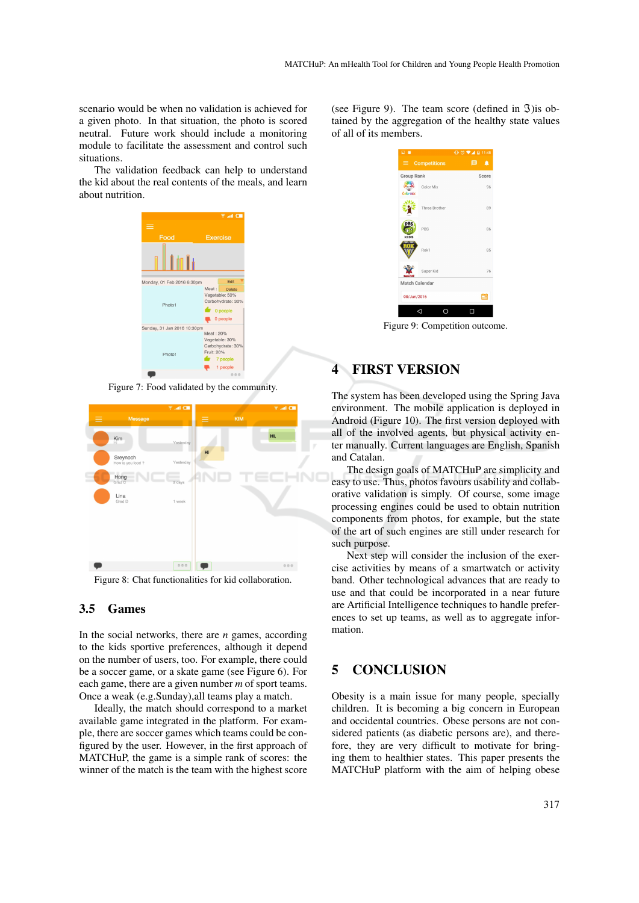scenario would be when no validation is achieved for a given photo. In that situation, the photo is scored neutral. Future work should include a monitoring module to facilitate the assessment and control such situations.

The validation feedback can help to understand the kid about the real contents of the meals, and learn about nutrition.



Figure 7: Food validated by the community.



Figure 8: Chat functionalities for kid collaboration.

#### 3.5 Games

In the social networks, there are *n* games, according to the kids sportive preferences, although it depend on the number of users, too. For example, there could be a soccer game, or a skate game (see Figure 6). For each game, there are a given number *m* of sport teams. Once a weak (e.g.Sunday),all teams play a match.

Ideally, the match should correspond to a market available game integrated in the platform. For example, there are soccer games which teams could be configured by the user. However, in the first approach of MATCHuP, the game is a simple rank of scores: the winner of the match is the team with the highest score

(see Figure 9). The team score (defined in  $\mathfrak{I}$ ) is obtained by the aggregation of the healthy state values of all of its members.



Figure 9: Competition outcome.

## 4 FIRST VERSION

The system has been developed using the Spring Java environment. The mobile application is deployed in Android (Figure 10). The first version deployed with all of the involved agents, but physical activity enter manually. Current languages are English, Spanish and Catalan.

The design goals of MATCHuP are simplicity and easy to use. Thus, photos favours usability and collaborative validation is simply. Of course, some image processing engines could be used to obtain nutrition components from photos, for example, but the state of the art of such engines are still under research for such purpose.

Next step will consider the inclusion of the exercise activities by means of a smartwatch or activity band. Other technological advances that are ready to use and that could be incorporated in a near future are Artificial Intelligence techniques to handle preferences to set up teams, as well as to aggregate information.

## 5 CONCLUSION

Obesity is a main issue for many people, specially children. It is becoming a big concern in European and occidental countries. Obese persons are not considered patients (as diabetic persons are), and therefore, they are very difficult to motivate for bringing them to healthier states. This paper presents the MATCHuP platform with the aim of helping obese